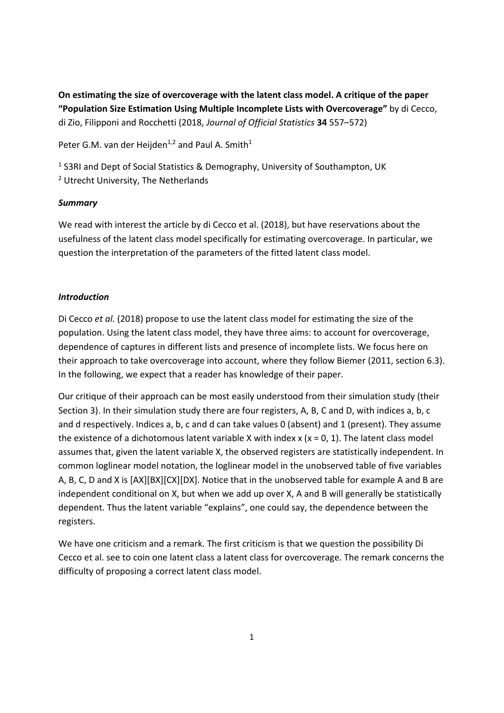**On estimating the size of overcoverage with the latent class model. A critique of the paper "Population Size Estimation Using Multiple Incomplete Lists with Overcoverage"** by di Cecco, di Zio, Filipponi and Rocchetti (2018, *Journal of Official Statistics* **34** 557–572)

Peter G.M. van der Heijden<sup>1,2</sup> and Paul A. Smith<sup>1</sup>

<sup>1</sup> S3RI and Dept of Social Statistics & Demography, University of Southampton, UK

2 Utrecht University, The Netherlands

# *Summary*

We read with interest the article by di Cecco et al. (2018), but have reservations about the usefulness of the latent class model specifically for estimating overcoverage. In particular, we question the interpretation of the parameters of the fitted latent class model.

# *Introduction*

Di Cecco *et al*. (2018) propose to use the latent class model for estimating the size of the population. Using the latent class model, they have three aims: to account for overcoverage, dependence of captures in different lists and presence of incomplete lists. We focus here on their approach to take overcoverage into account, where they follow Biemer (2011, section 6.3). In the following, we expect that a reader has knowledge of their paper.

Our critique of their approach can be most easily understood from their simulation study (their Section 3). In their simulation study there are four registers, A, B, C and D, with indices a, b, c and d respectively. Indices a, b, c and d can take values 0 (absent) and 1 (present). They assume the existence of a dichotomous latent variable X with index  $x$  ( $x = 0, 1$ ). The latent class model assumes that, given the latent variable X, the observed registers are statistically independent. In common loglinear model notation, the loglinear model in the unobserved table of five variables A, B, C, D and X is [AX][BX][CX][DX]. Notice that in the unobserved table for example A and B are independent conditional on X, but when we add up over X, A and B will generally be statistically dependent. Thus the latent variable "explains", one could say, the dependence between the registers.

We have one criticism and a remark. The first criticism is that we question the possibility Di Cecco et al. see to coin one latent class a latent class for overcoverage. The remark concerns the difficulty of proposing a correct latent class model.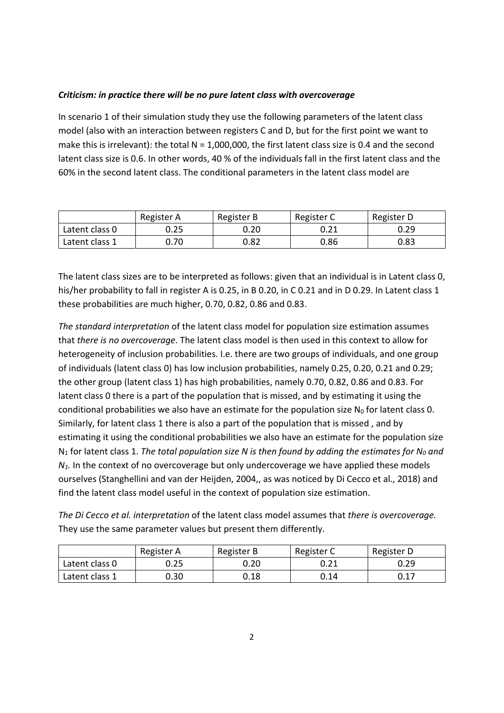### *Criticism: in practice there will be no pure latent class with overcoverage*

In scenario 1 of their simulation study they use the following parameters of the latent class model (also with an interaction between registers C and D, but for the first point we want to make this is irrelevant): the total  $N = 1,000,000$ , the first latent class size is 0.4 and the second latent class size is 0.6. In other words, 40 % of the individuals fall in the first latent class and the 60% in the second latent class. The conditional parameters in the latent class model are

|                | Register A | Register B | Register C | Register D |
|----------------|------------|------------|------------|------------|
| Latent class 0 | 0.25       | 0.20       | 0.21       | 0.29       |
| Latent class 1 | 0.70       | 0.82       | 0.86       | 0.83       |

The latent class sizes are to be interpreted as follows: given that an individual is in Latent class 0, his/her probability to fall in register A is 0.25, in B 0.20, in C 0.21 and in D 0.29. In Latent class 1 these probabilities are much higher, 0.70, 0.82, 0.86 and 0.83.

*The standard interpretation* of the latent class model for population size estimation assumes that *there is no overcoverage*. The latent class model is then used in this context to allow for heterogeneity of inclusion probabilities. I.e. there are two groups of individuals, and one group of individuals (latent class 0) has low inclusion probabilities, namely 0.25, 0.20, 0.21 and 0.29; the other group (latent class 1) has high probabilities, namely 0.70, 0.82, 0.86 and 0.83. For latent class 0 there is a part of the population that is missed, and by estimating it using the conditional probabilities we also have an estimate for the population size  $N_0$  for latent class 0. Similarly, for latent class 1 there is also a part of the population that is missed , and by estimating it using the conditional probabilities we also have an estimate for the population size N<sub>1</sub> for latent class 1. The total population size N is then found by adding the estimates for N<sub>0</sub> and *N<sub>1</sub>*. In the context of no overcoverage but only undercoverage we have applied these models ourselves (Stanghellini and van der Heijden, 2004,, as was noticed by Di Cecco et al., 2018) and find the latent class model useful in the context of population size estimation.

*The Di Cecco et al. interpretation* of the latent class model assumes that *there is overcoverage.*  They use the same parameter values but present them differently.

|                | Register A | Register B | Register C | Register D |
|----------------|------------|------------|------------|------------|
| Latent class 0 | 0.25       | 0.20       | 0.21       | 0.29       |
| Latent class 1 | 0.30       | 0.18       | 0.14       | 0.17       |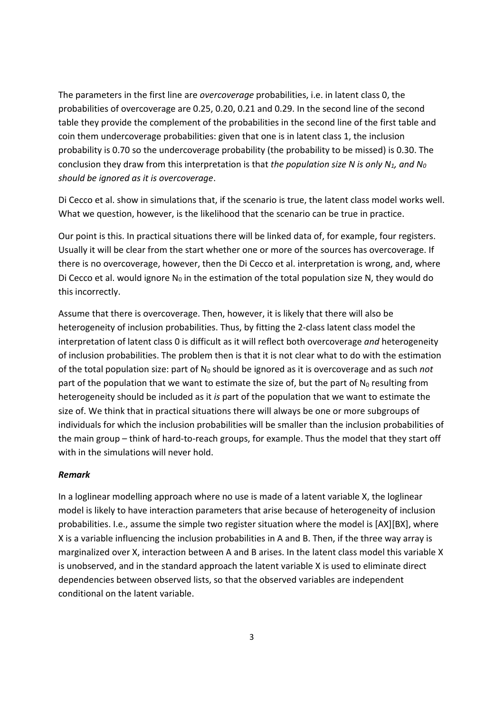The parameters in the first line are *overcoverage* probabilities, i.e. in latent class 0, the probabilities of overcoverage are 0.25, 0.20, 0.21 and 0.29. In the second line of the second table they provide the complement of the probabilities in the second line of the first table and coin them undercoverage probabilities: given that one is in latent class 1, the inclusion probability is 0.70 so the undercoverage probability (the probability to be missed) is 0.30. The conclusion they draw from this interpretation is that *the population size N is only N1, and N0 should be ignored as it is overcoverage*.

Di Cecco et al. show in simulations that, if the scenario is true, the latent class model works well. What we question, however, is the likelihood that the scenario can be true in practice.

Our point is this. In practical situations there will be linked data of, for example, four registers. Usually it will be clear from the start whether one or more of the sources has overcoverage. If there is no overcoverage, however, then the Di Cecco et al. interpretation is wrong, and, where Di Cecco et al. would ignore  $N_0$  in the estimation of the total population size N, they would do this incorrectly.

Assume that there is overcoverage. Then, however, it is likely that there will also be heterogeneity of inclusion probabilities. Thus, by fitting the 2‐class latent class model the interpretation of latent class 0 is difficult as it will reflect both overcoverage *and* heterogeneity of inclusion probabilities. The problem then is that it is not clear what to do with the estimation of the total population size: part of N0 should be ignored as it is overcoverage and as such *not* part of the population that we want to estimate the size of, but the part of  $N_0$  resulting from heterogeneity should be included as it *is* part of the population that we want to estimate the size of. We think that in practical situations there will always be one or more subgroups of individuals for which the inclusion probabilities will be smaller than the inclusion probabilities of the main group – think of hard‐to‐reach groups, for example. Thus the model that they start off with in the simulations will never hold.

#### *Remark*

In a loglinear modelling approach where no use is made of a latent variable X, the loglinear model is likely to have interaction parameters that arise because of heterogeneity of inclusion probabilities. I.e., assume the simple two register situation where the model is [AX][BX], where X is a variable influencing the inclusion probabilities in A and B. Then, if the three way array is marginalized over X, interaction between A and B arises. In the latent class model this variable X is unobserved, and in the standard approach the latent variable X is used to eliminate direct dependencies between observed lists, so that the observed variables are independent conditional on the latent variable.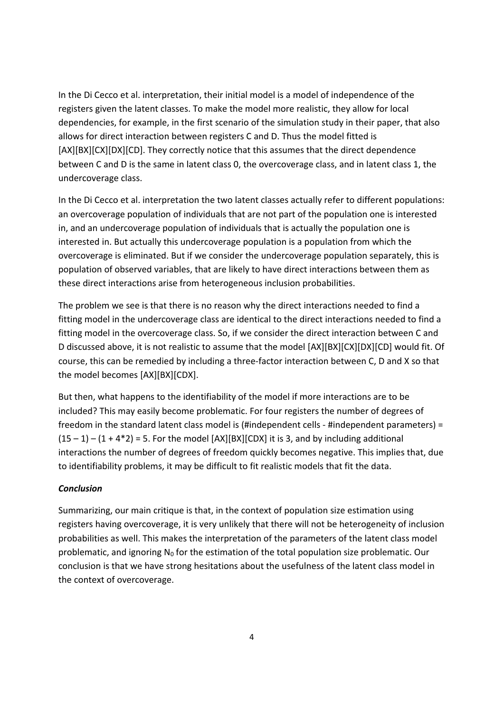In the Di Cecco et al. interpretation, their initial model is a model of independence of the registers given the latent classes. To make the model more realistic, they allow for local dependencies, for example, in the first scenario of the simulation study in their paper, that also allows for direct interaction between registers C and D. Thus the model fitted is [AX][BX][CX][DX][CD]. They correctly notice that this assumes that the direct dependence between C and D is the same in latent class 0, the overcoverage class, and in latent class 1, the undercoverage class.

In the Di Cecco et al. interpretation the two latent classes actually refer to different populations: an overcoverage population of individuals that are not part of the population one is interested in, and an undercoverage population of individuals that is actually the population one is interested in. But actually this undercoverage population is a population from which the overcoverage is eliminated. But if we consider the undercoverage population separately, this is population of observed variables, that are likely to have direct interactions between them as these direct interactions arise from heterogeneous inclusion probabilities.

The problem we see is that there is no reason why the direct interactions needed to find a fitting model in the undercoverage class are identical to the direct interactions needed to find a fitting model in the overcoverage class. So, if we consider the direct interaction between C and D discussed above, it is not realistic to assume that the model [AX][BX][CX][DX][CD] would fit. Of course, this can be remedied by including a three‐factor interaction between C, D and X so that the model becomes [AX][BX][CDX].

But then, what happens to the identifiability of the model if more interactions are to be included? This may easily become problematic. For four registers the number of degrees of freedom in the standard latent class model is (#independent cells ‐ #independent parameters) =  $(15 - 1) - (1 + 4^*2) = 5$ . For the model [AX][BX][CDX] it is 3, and by including additional interactions the number of degrees of freedom quickly becomes negative. This implies that, due to identifiability problems, it may be difficult to fit realistic models that fit the data.

### *Conclusion*

Summarizing, our main critique is that, in the context of population size estimation using registers having overcoverage, it is very unlikely that there will not be heterogeneity of inclusion probabilities as well. This makes the interpretation of the parameters of the latent class model problematic, and ignoring  $N_0$  for the estimation of the total population size problematic. Our conclusion is that we have strong hesitations about the usefulness of the latent class model in the context of overcoverage.